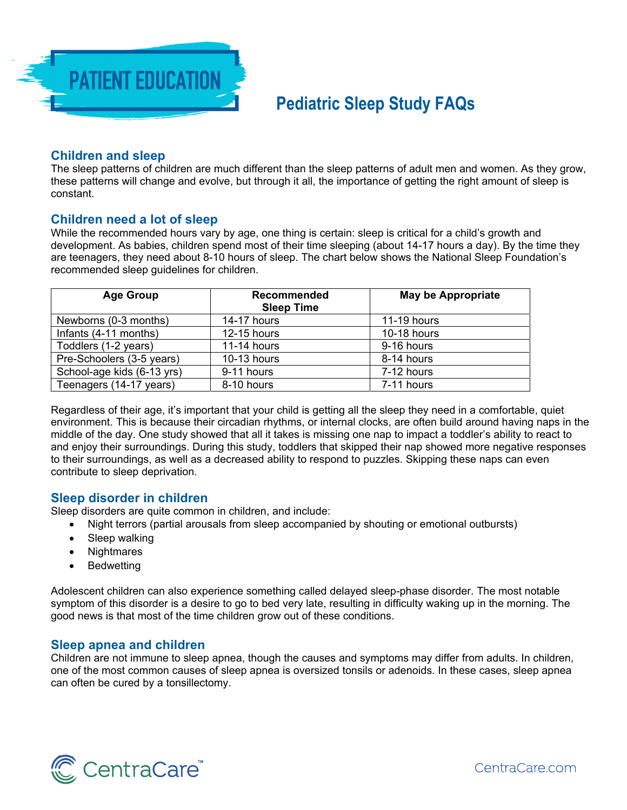

# **Pediatric Sleep Study FAQs**

## **Children and sleep**

The sleep patterns of children are much different than the sleep patterns of adult men and women. As they grow, these patterns will change and evolve, but through it all, the importance of getting the right amount of sleep is constant.

## **Children need a lot of sleep**

While the recommended hours vary by age, one thing is certain: sleep is critical for a child's growth and development. As babies, children spend most of their time sleeping (about 14-17 hours a day). By the time they are teenagers, they need about 8-10 hours of sleep. The chart below shows the National Sleep Foundation's recommended sleep guidelines for children.

| <b>Age Group</b>           | <b>Recommended</b> | <b>May be Appropriate</b> |
|----------------------------|--------------------|---------------------------|
|                            | <b>Sleep Time</b>  |                           |
| Newborns (0-3 months)      | 14-17 hours        | 11-19 hours               |
| Infants (4-11 months)      | 12-15 hours        | 10-18 hours               |
| Toddlers (1-2 years)       | 11-14 hours        | 9-16 hours                |
| Pre-Schoolers (3-5 years)  | 10-13 hours        | 8-14 hours                |
| School-age kids (6-13 yrs) | 9-11 hours         | 7-12 hours                |
| Teenagers (14-17 years)    | 8-10 hours         | 7-11 hours                |

Regardless of their age, it's important that your child is getting all the sleep they need in a comfortable, quiet environment. This is because their circadian rhythms, or internal clocks, are often build around having naps in the middle of the day. One study showed that all it takes is missing one nap to impact a toddler's ability to react to and enjoy their surroundings. During this study, toddlers that skipped their nap showed more negative responses to their surroundings, as well as a decreased ability to respond to puzzles. Skipping these naps can even contribute to sleep deprivation.

# **Sleep disorder in children**

Sleep disorders are quite common in children, and include:

- Night terrors (partial arousals from sleep accompanied by shouting or emotional outbursts)
- Sleep walking
- Nightmares
- Bedwetting

Adolescent children can also experience something called delayed sleep-phase disorder. The most notable symptom of this disorder is a desire to go to bed very late, resulting in difficulty waking up in the morning. The good news is that most of the time children grow out of these conditions.

#### **Sleep apnea and children**

Children are not immune to sleep apnea, though the causes and symptoms may differ from adults. In children, one of the most common causes of sleep apnea is oversized tonsils or adenoids. In these cases, sleep apnea can often be cured by a tonsillectomy.

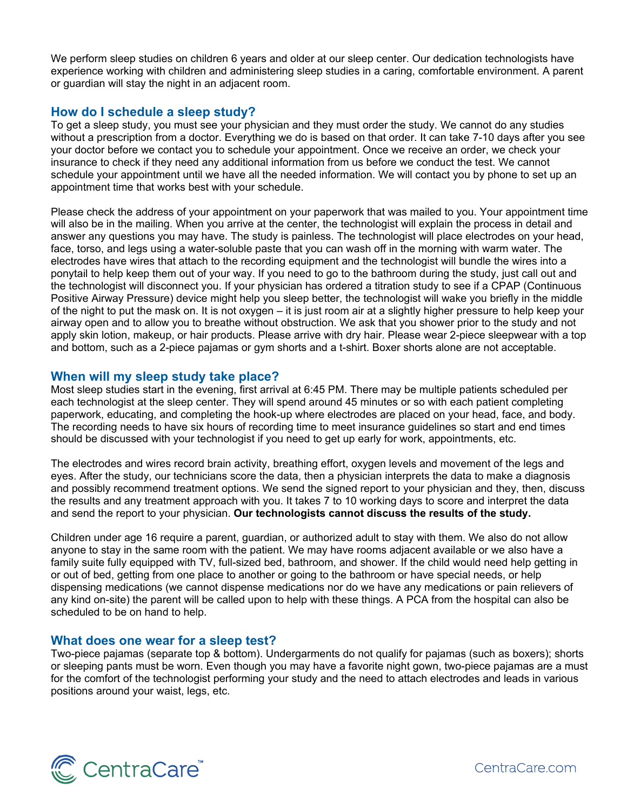We perform sleep studies on children 6 years and older at our sleep center. Our dedication technologists have experience working with children and administering sleep studies in a caring, comfortable environment. A parent or guardian will stay the night in an adjacent room.

# **How do I schedule a sleep study?**

To get a sleep study, you must see your physician and they must order the study. We cannot do any studies without a prescription from a doctor. Everything we do is based on that order. It can take 7-10 days after you see your doctor before we contact you to schedule your appointment. Once we receive an order, we check your insurance to check if they need any additional information from us before we conduct the test. We cannot schedule your appointment until we have all the needed information. We will contact you by phone to set up an appointment time that works best with your schedule.

Please check the address of your appointment on your paperwork that was mailed to you. Your appointment time will also be in the mailing. When you arrive at the center, the technologist will explain the process in detail and answer any questions you may have. The study is painless. The technologist will place electrodes on your head, face, torso, and legs using a water-soluble paste that you can wash off in the morning with warm water. The electrodes have wires that attach to the recording equipment and the technologist will bundle the wires into a ponytail to help keep them out of your way. If you need to go to the bathroom during the study, just call out and the technologist will disconnect you. If your physician has ordered a titration study to see if a CPAP (Continuous Positive Airway Pressure) device might help you sleep better, the technologist will wake you briefly in the middle of the night to put the mask on. It is not oxygen – it is just room air at a slightly higher pressure to help keep your airway open and to allow you to breathe without obstruction. We ask that you shower prior to the study and not apply skin lotion, makeup, or hair products. Please arrive with dry hair. Please wear 2-piece sleepwear with a top and bottom, such as a 2-piece pajamas or gym shorts and a t-shirt. Boxer shorts alone are not acceptable.

# **When will my sleep study take place?**

Most sleep studies start in the evening, first arrival at 6:45 PM. There may be multiple patients scheduled per each technologist at the sleep center. They will spend around 45 minutes or so with each patient completing paperwork, educating, and completing the hook-up where electrodes are placed on your head, face, and body. The recording needs to have six hours of recording time to meet insurance guidelines so start and end times should be discussed with your technologist if you need to get up early for work, appointments, etc.

The electrodes and wires record brain activity, breathing effort, oxygen levels and movement of the legs and eyes. After the study, our technicians score the data, then a physician interprets the data to make a diagnosis and possibly recommend treatment options. We send the signed report to your physician and they, then, discuss the results and any treatment approach with you. It takes 7 to 10 working days to score and interpret the data and send the report to your physician. **Our technologists cannot discuss the results of the study.** 

Children under age 16 require a parent, guardian, or authorized adult to stay with them. We also do not allow anyone to stay in the same room with the patient. We may have rooms adjacent available or we also have a family suite fully equipped with TV, full-sized bed, bathroom, and shower. If the child would need help getting in or out of bed, getting from one place to another or going to the bathroom or have special needs, or help dispensing medications (we cannot dispense medications nor do we have any medications or pain relievers of any kind on-site) the parent will be called upon to help with these things. A PCA from the hospital can also be scheduled to be on hand to help.

#### **What does one wear for a sleep test?**

Two-piece pajamas (separate top & bottom). Undergarments do not qualify for pajamas (such as boxers); shorts or sleeping pants must be worn. Even though you may have a favorite night gown, two-piece pajamas are a must for the comfort of the technologist performing your study and the need to attach electrodes and leads in various positions around your waist, legs, etc.